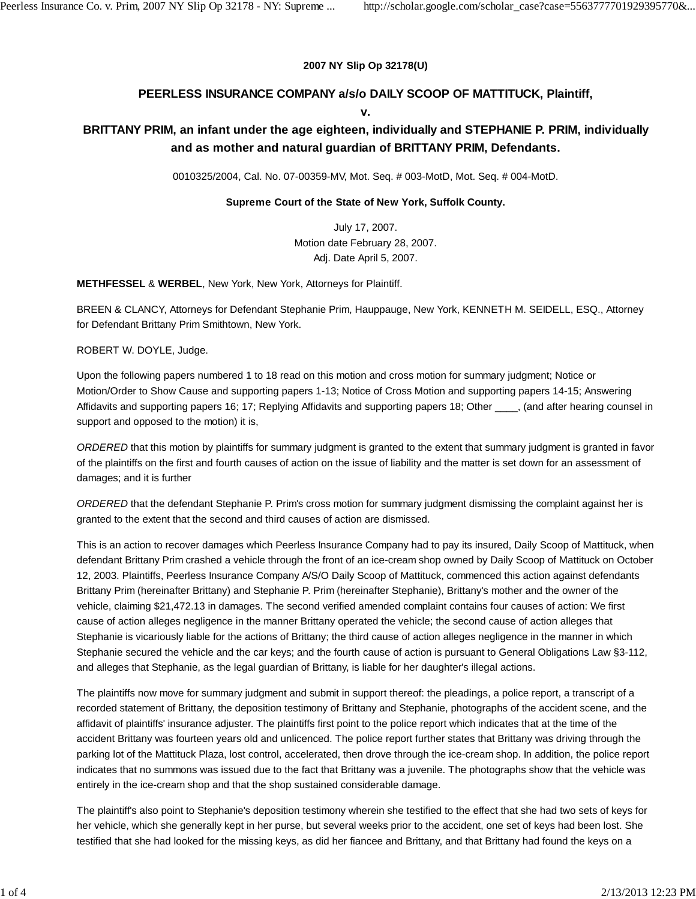#### **2007 NY Slip Op 32178(U)**

## **PEERLESS INSURANCE COMPANY a/s/o DAILY SCOOP OF MATTITUCK, Plaintiff,**

#### **v.**

# **BRITTANY PRIM, an infant under the age eighteen, individually and STEPHANIE P. PRIM, individually and as mother and natural guardian of BRITTANY PRIM, Defendants.**

0010325/2004, Cal. No. 07-00359-MV, Mot. Seq. # 003-MotD, Mot. Seq. # 004-MotD.

### **Supreme Court of the State of New York, Suffolk County.**

July 17, 2007. Motion date February 28, 2007. Adj. Date April 5, 2007.

**METHFESSEL** & **WERBEL**, New York, New York, Attorneys for Plaintiff.

BREEN & CLANCY, Attorneys for Defendant Stephanie Prim, Hauppauge, New York, KENNETH M. SEIDELL, ESQ., Attorney for Defendant Brittany Prim Smithtown, New York.

ROBERT W. DOYLE, Judge.

Upon the following papers numbered 1 to 18 read on this motion and cross motion for summary judgment; Notice or Motion/Order to Show Cause and supporting papers 1-13; Notice of Cross Motion and supporting papers 14-15; Answering Affidavits and supporting papers 16; 17; Replying Affidavits and supporting papers 18; Other \_\_\_, (and after hearing counsel in support and opposed to the motion) it is,

*ORDERED* that this motion by plaintiffs for summary judgment is granted to the extent that summary judgment is granted in favor of the plaintiffs on the first and fourth causes of action on the issue of liability and the matter is set down for an assessment of damages; and it is further

*ORDERED* that the defendant Stephanie P. Prim's cross motion for summary judgment dismissing the complaint against her is granted to the extent that the second and third causes of action are dismissed.

This is an action to recover damages which Peerless Insurance Company had to pay its insured, Daily Scoop of Mattituck, when defendant Brittany Prim crashed a vehicle through the front of an ice-cream shop owned by Daily Scoop of Mattituck on October 12, 2003. Plaintiffs, Peerless Insurance Company A/S/O Daily Scoop of Mattituck, commenced this action against defendants Brittany Prim (hereinafter Brittany) and Stephanie P. Prim (hereinafter Stephanie), Brittany's mother and the owner of the vehicle, claiming \$21,472.13 in damages. The second verified amended complaint contains four causes of action: We first cause of action alleges negligence in the manner Brittany operated the vehicle; the second cause of action alleges that Stephanie is vicariously liable for the actions of Brittany; the third cause of action alleges negligence in the manner in which Stephanie secured the vehicle and the car keys; and the fourth cause of action is pursuant to General Obligations Law §3-112, and alleges that Stephanie, as the legal guardian of Brittany, is liable for her daughter's illegal actions.

The plaintiffs now move for summary judgment and submit in support thereof: the pleadings, a police report, a transcript of a recorded statement of Brittany, the deposition testimony of Brittany and Stephanie, photographs of the accident scene, and the affidavit of plaintiffs' insurance adjuster. The plaintiffs first point to the police report which indicates that at the time of the accident Brittany was fourteen years old and unlicenced. The police report further states that Brittany was driving through the parking lot of the Mattituck Plaza, lost control, accelerated, then drove through the ice-cream shop. In addition, the police report indicates that no summons was issued due to the fact that Brittany was a juvenile. The photographs show that the vehicle was entirely in the ice-cream shop and that the shop sustained considerable damage.

The plaintiff's also point to Stephanie's deposition testimony wherein she testified to the effect that she had two sets of keys for her vehicle, which she generally kept in her purse, but several weeks prior to the accident, one set of keys had been lost. She testified that she had looked for the missing keys, as did her fiancee and Brittany, and that Brittany had found the keys on a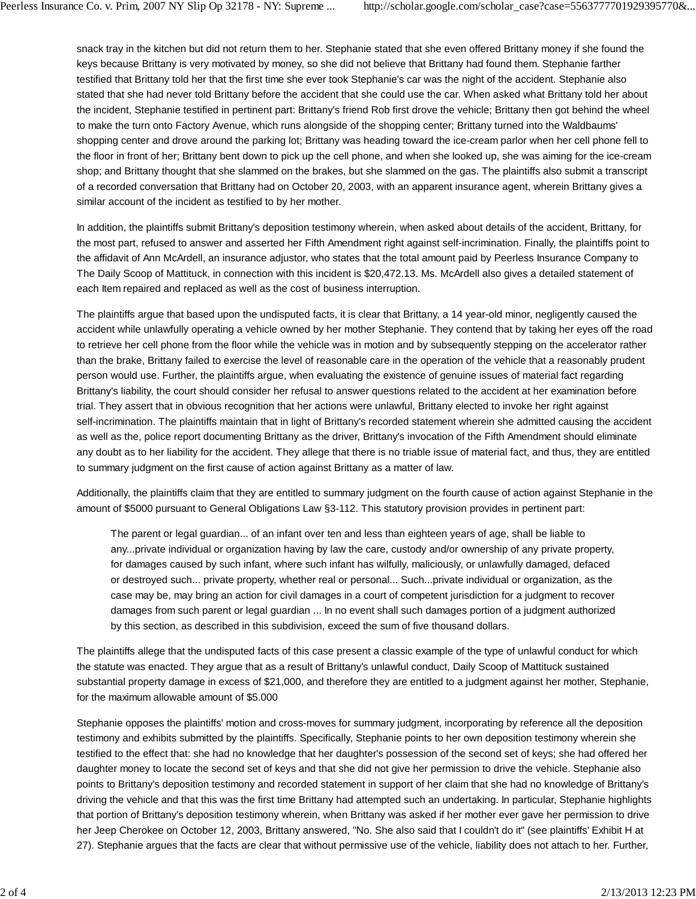snack tray in the kitchen but did not return them to her. Stephanie stated that she even offered Brittany money if she found the keys because Brittany is very motivated by money, so she did not believe that Brittany had found them. Stephanie farther testified that Brittany told her that the first time she ever took Stephanie's car was the night of the accident. Stephanie also stated that she had never told Brittany before the accident that she could use the car. When asked what Brittany told her about the incident, Stephanie testified in pertinent part: Brittany's friend Rob first drove the vehicle; Brittany then got behind the wheel to make the turn onto Factory Avenue, which runs alongside of the shopping center; Brittany turned into the Waldbaums' shopping center and drove around the parking lot; Brittany was heading toward the ice-cream parlor when her cell phone fell to the floor in front of her; Brittany bent down to pick up the cell phone, and when she looked up, she was aiming for the ice-cream shop; and Brittany thought that she slammed on the brakes, but she slammed on the gas. The plaintiffs also submit a transcript of a recorded conversation that Brittany had on October 20, 2003, with an apparent insurance agent, wherein Brittany gives a similar account of the incident as testified to by her mother.

In addition, the plaintiffs submit Brittany's deposition testimony wherein, when asked about details of the accident, Brittany, for the most part, refused to answer and asserted her Fifth Amendment right against self-incrimination. Finally, the plaintiffs point to the affidavit of Ann McArdell, an insurance adjustor, who states that the total amount paid by Peerless Insurance Company to The Daily Scoop of Mattituck, in connection with this incident is \$20,472.13. Ms. McArdell also gives a detailed statement of each Item repaired and replaced as well as the cost of business interruption.

The plaintiffs argue that based upon the undisputed facts, it is clear that Brittany, a 14 year-old minor, negligently caused the accident while unlawfully operating a vehicle owned by her mother Stephanie. They contend that by taking her eyes off the road to retrieve her cell phone from the floor while the vehicle was in motion and by subsequently stepping on the accelerator rather than the brake, Brittany failed to exercise the level of reasonable care in the operation of the vehicle that a reasonably prudent person would use. Further, the plaintiffs argue, when evaluating the existence of genuine issues of material fact regarding Brittany's liability, the court should consider her refusal to answer questions related to the accident at her examination before trial. They assert that in obvious recognition that her actions were unlawful, Brittany elected to invoke her right against self-incrimination. The plaintiffs maintain that in light of Brittany's recorded statement wherein she admitted causing the accident as well as the, police report documenting Brittany as the driver, Brittany's invocation of the Fifth Amendment should eliminate any doubt as to her liability for the accident. They allege that there is no triable issue of material fact, and thus, they are entitled to summary judgment on the first cause of action against Brittany as a matter of law.

Additionally, the plaintiffs claim that they are entitled to summary judgment on the fourth cause of action against Stephanie in the amount of \$5000 pursuant to General Obligations Law §3-112. This statutory provision provides in pertinent part:

The parent or legal guardian... of an infant over ten and less than eighteen years of age, shall be liable to any...private individual or organization having by law the care, custody and/or ownership of any private property, for damages caused by such infant, where such infant has wilfully, maliciously, or unlawfully damaged, defaced or destroyed such... private property, whether real or personal... Such...private individual or organization, as the case may be, may bring an action for civil damages in a court of competent jurisdiction for a judgment to recover damages from such parent or legal guardian ... In no event shall such damages portion of a judgment authorized by this section, as described in this subdivision, exceed the sum of five thousand dollars.

The plaintiffs allege that the undisputed facts of this case present a classic example of the type of unlawful conduct for which the statute was enacted. They argue that as a result of Brittany's unlawful conduct, Daily Scoop of Mattituck sustained substantial property damage in excess of \$21,000, and therefore they are entitled to a judgment against her mother, Stephanie, for the maximum allowable amount of \$5.000

Stephanie opposes the plaintiffs' motion and cross-moves for summary judgment, incorporating by reference all the deposition testimony and exhibits submitted by the plaintiffs. Specifically, Stephanie points to her own deposition testimony wherein she testified to the effect that: she had no knowledge that her daughter's possession of the second set of keys; she had offered her daughter money to locate the second set of keys and that she did not give her permission to drive the vehicle. Stephanie also points to Brittany's deposition testimony and recorded statement in support of her claim that she had no knowledge of Brittany's driving the vehicle and that this was the first time Brittany had attempted such an undertaking. In particular, Stephanie highlights that portion of Brittany's deposition testimony wherein, when Brittany was asked if her mother ever gave her permission to drive her Jeep Cherokee on October 12, 2003, Brittany answered, "No. She also said that I couldn't do it" (see plaintiffs' Exhibit H at 27). Stephanie argues that the facts are clear that without permissive use of the vehicle, liability does not attach to her. Further,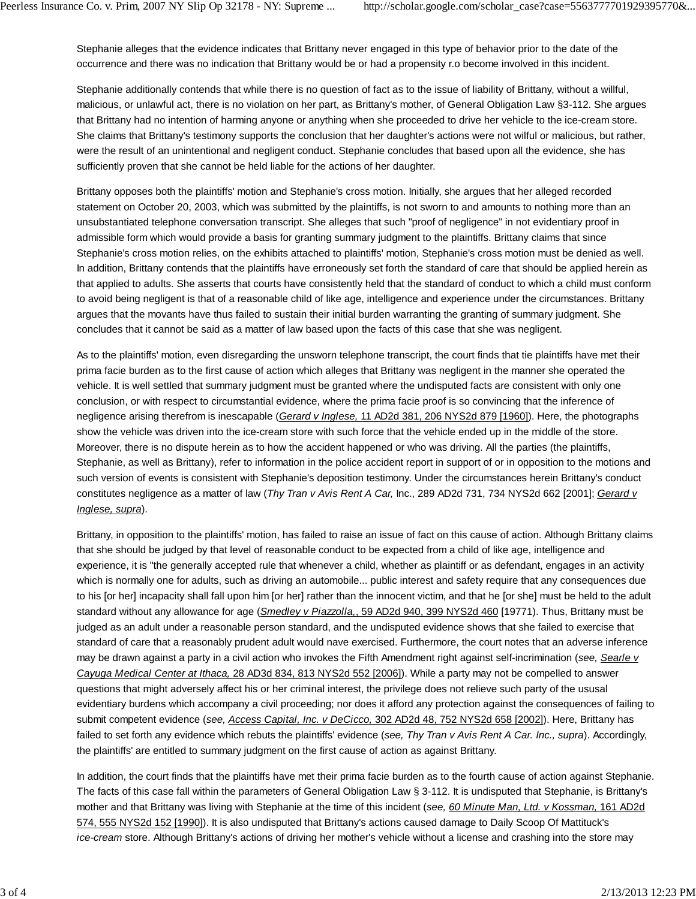Stephanie alleges that the evidence indicates that Brittany never engaged in this type of behavior prior to the date of the occurrence and there was no indication that Brittany would be or had a propensity r.o become involved in this incident.

Stephanie additionally contends that while there is no question of fact as to the issue of liability of Brittany, without a willful, malicious, or unlawful act, there is no violation on her part, as Brittany's mother, of General Obligation Law §3-112. She argues that Brittany had no intention of harming anyone or anything when she proceeded to drive her vehicle to the ice-cream store. She claims that Brittany's testimony supports the conclusion that her daughter's actions were not wilful or malicious, but rather, were the result of an unintentional and negligent conduct. Stephanie concludes that based upon all the evidence, she has sufficiently proven that she cannot be held liable for the actions of her daughter.

Brittany opposes both the plaintiffs' motion and Stephanie's cross motion. Initially, she argues that her alleged recorded statement on October 20, 2003, which was submitted by the plaintiffs, is not sworn to and amounts to nothing more than an unsubstantiated telephone conversation transcript. She alleges that such "proof of negligence" in not evidentiary proof in admissible form which would provide a basis for granting summary judgment to the plaintiffs. Brittany claims that since Stephanie's cross motion relies, on the exhibits attached to plaintiffs' motion, Stephanie's cross motion must be denied as well. In addition, Brittany contends that the plaintiffs have erroneously set forth the standard of care that should be applied herein as that applied to adults. She asserts that courts have consistently held that the standard of conduct to which a child must conform to avoid being negligent is that of a reasonable child of like age, intelligence and experience under the circumstances. Brittany argues that the movants have thus failed to sustain their initial burden warranting the granting of summary judgment. She concludes that it cannot be said as a matter of law based upon the facts of this case that she was negligent.

As to the plaintiffs' motion, even disregarding the unsworn telephone transcript, the court finds that tie plaintiffs have met their prima facie burden as to the first cause of action which alleges that Brittany was negligent in the manner she operated the vehicle. It is well settled that summary judgment must be granted where the undisputed facts are consistent with only one conclusion, or with respect to circumstantial evidence, where the prima facie proof is so convincing that the inference of negligence arising therefrom is inescapable (*Gerard v Inglese,* 11 AD2d 381, 206 NYS2d 879 [1960]). Here, the photographs show the vehicle was driven into the ice-cream store with such force that the vehicle ended up in the middle of the store. Moreover, there is no dispute herein as to how the accident happened or who was driving. All the parties (the plaintiffs, Stephanie, as well as Brittany), refer to information in the police accident report in support of or in opposition to the motions and such version of events is consistent with Stephanie's deposition testimony. Under the circumstances herein Brittany's conduct constitutes negligence as a matter of law (*Thy Tran v Avis Rent A Car,* Inc., 289 AD2d 731, 734 NYS2d 662 [2001]; *Gerard v Inglese, supra*).

Brittany, in opposition to the plaintiffs' motion, has failed to raise an issue of fact on this cause of action. Although Brittany claims that she should be judged by that level of reasonable conduct to be expected from a child of like age, intelligence and experience, it is "the generally accepted rule that whenever a child, whether as plaintiff or as defendant, engages in an activity which is normally one for adults, such as driving an automobile... public interest and safety require that any consequences due to his [or her] incapacity shall fall upon him [or her] rather than the innocent victim, and that he [or she] must be held to the adult standard without any allowance for age (*Smedley v Piazzolla,*, 59 AD2d 940, 399 NYS2d 460 [19771). Thus, Brittany must be judged as an adult under a reasonable person standard, and the undisputed evidence shows that she failed to exercise that standard of care that a reasonably prudent adult would nave exercised. Furthermore, the court notes that an adverse inference may be drawn against a party in a civil action who invokes the Fifth Amendment right against self-incrimination (*see, Searle v Cayuga Medical Center at Ithaca,* 28 AD3d 834, 813 NYS2d 552 [2006]). While a party may not be compelled to answer questions that might adversely affect his or her criminal interest, the privilege does not relieve such party of the ususal evidentiary burdens which accompany a civil proceeding; nor does it afford any protection against the consequences of failing to submit competent evidence (*see, Access Capital, Inc. v DeCicco,* 302 AD2d 48, 752 NYS2d 658 [2002]). Here, Brittany has failed to set forth any evidence which rebuts the plaintiffs' evidence (*see, Thy Tran v Avis Rent A Car. Inc., supra*). Accordingly, the plaintiffs' are entitled to summary judgment on the first cause of action as against Brittany.

In addition, the court finds that the plaintiffs have met their prima facie burden as to the fourth cause of action against Stephanie. The facts of this case fall within the parameters of General Obligation Law § 3-112. It is undisputed that Stephanie, is Brittany's mother and that Brittany was living with Stephanie at the time of this incident (*see, 60 Minute Man, Ltd. v Kossman,* 161 AD2d 574, 555 NYS2d 152 [1990]). It is also undisputed that Brittany's actions caused damage to Daily Scoop Of Mattituck's *ice-cream* store. Although Brittany's actions of driving her mother's vehicle without a license and crashing into the store may